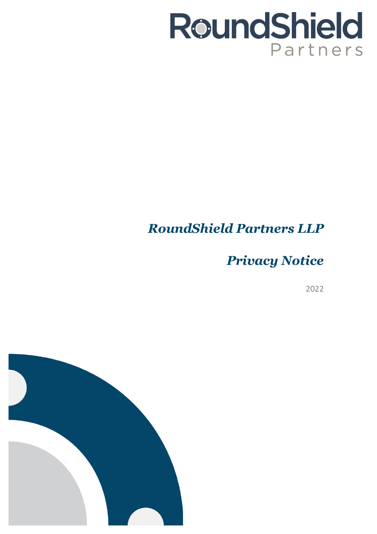# RoundShield Partners

## *RoundShield Partners LLP*

*Privacy Notice*

2022

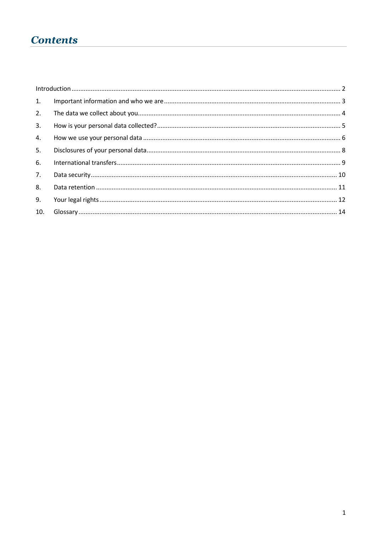## **Contents**

| 1.  |  |
|-----|--|
| 2.  |  |
| 3.  |  |
| 4.  |  |
| 5.  |  |
| 6.  |  |
| 7.  |  |
| 8.  |  |
| 9.  |  |
| 10. |  |
|     |  |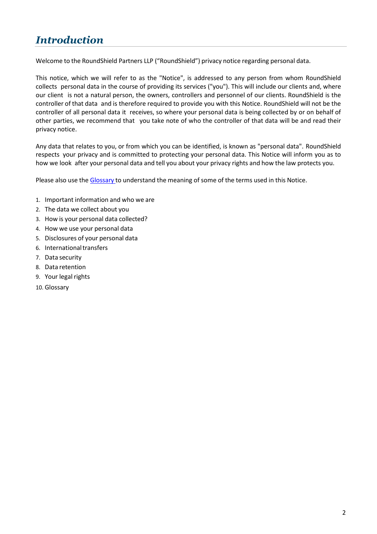## <span id="page-2-0"></span>*Introduction*

Welcome to the RoundShield Partners LLP ("RoundShield") privacy notice regarding personal data.

This notice, which we will refer to as the "Notice", is addressed to any person from whom RoundShield collects personal data in the course of providing its services ("you"). This will include our clients and, where our client is not a natural person, the owners, controllers and personnel of our clients. RoundShield is the controller of that data and is therefore required to provide you with this Notice. RoundShield will not be the controller of all personal data it receives, so where your personal data is being collected by or on behalf of other parties, we recommend that you take note of who the controller of that data will be and read their privacy notice.

Any data that relates to you, or from which you can be identified, is known as "personal data". RoundShield respects your privacy and is committed to protecting your personal data. This Notice will inform you as to how we look after your personal data and tell you about your privacy rights and how the law protects you.

Please also use the [Glossary](#page-14-0) to understand the meaning of some of the terms used in this Notice.

- 1. Important information and who we are
- 2. The data we collect about you
- 3. How is your personal data collected?
- 4. How we use your personal data
- 5. Disclosures of your personal data
- 6. Internationaltransfers
- 7. Data security
- 8. Data retention
- 9. Your legal rights
- 10. Glossary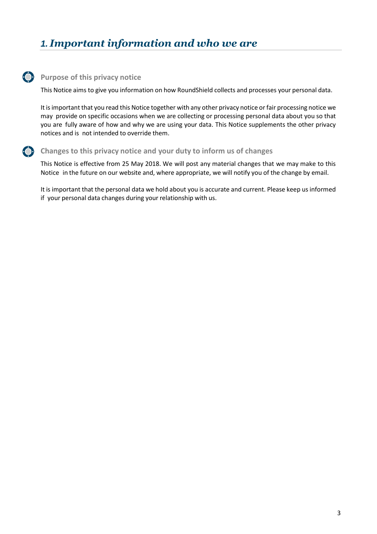## <span id="page-3-0"></span>*1. Important information and who we are*

#### **Purpose of this privacy notice**

This Notice aims to give you information on how RoundShield collects and processes your personal data.

It is important that you read this Notice together with any other privacy notice or fair processing notice we may provide on specific occasions when we are collecting or processing personal data about you so that you are fully aware of how and why we are using your data. This Notice supplements the other privacy notices and is not intended to override them.

#### **Changes to this privacy notice and your duty to inform us of changes**

This Notice is effective from 25 May 2018. We will post any material changes that we may make to this Notice in the future on our website and, where appropriate, we will notify you of the change by email.

It is important that the personal data we hold about you is accurate and current. Please keep us informed if your personal data changes during your relationship with us.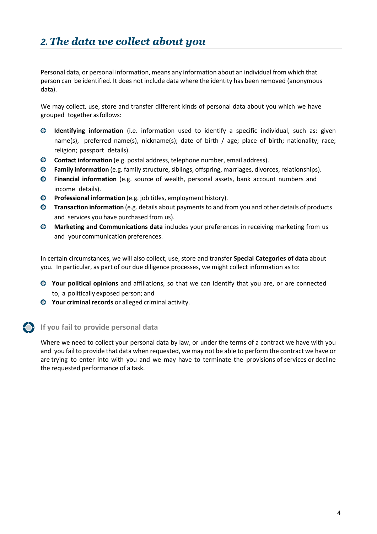## <span id="page-4-0"></span>*2.The data we collect about you*

Personal data, or personal information, means any information about an individual from which that person can be identified. It does not include data where the identity has been removed (anonymous data).

We may collect, use, store and transfer different kinds of personal data about you which we have grouped together as follows:

- **Identifying information** (i.e. information used to identify a specific individual, such as: given name(s), preferred name(s), nickname(s); date of birth / age; place of birth; nationality; race; religion; passport details).
- **Contact information** (e.g. postal address, telephone number, email address).
- **O** Family information (e.g. family structure, siblings, offspring, marriages, divorces, relationships).
- **Financial information** (e.g. source of wealth, personal assets, bank account numbers and income details).
- **Professional information** (e.g. job titles, employment history).
- **Transaction information** (e.g. details about paymentsto and from you and other details of products and services you have purchased from us).
- **Marketing and Communications data** includes your preferences in receiving marketing from us and your communication preferences.

In certain circumstances, we will also collect, use, store and transfer **Special Categories of data** about you. In particular, as part of our due diligence processes, we might collect information as to:

- **Your political opinions** and affiliations, so that we can identify that you are, or are connected to, a politically exposed person; and
- **Your criminal records** or alleged criminal activity.

**If you fail to provide personal data**

Where we need to collect your personal data by law, or under the terms of a contract we have with you and you fail to provide that data when requested, we may not be able to perform the contract we have or are trying to enter into with you and we may have to terminate the provisions of services or decline the requested performance of a task.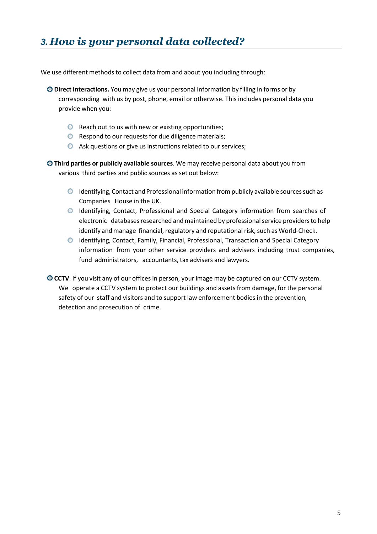## <span id="page-5-0"></span>*3. How is your personal data collected?*

We use different methods to collect data from and about you including through:

- **Direct interactions.** You may give us your personal information by filling in forms or by corresponding with us by post, phone, email or otherwise. This includes personal data you provide when you:
	- $\bullet$  Reach out to us with new or existing opportunities;
	- **O** Respond to our requests for due diligence materials;
	- $\bullet$  Ask questions or give us instructions related to our services;

**Third parties or publicly available sources**. We may receive personal data about you from various third parties and public sources as set out below:

- Identifying, Contact and Professional information frompublicly available sourcessuch as Companies House in the UK.
- Identifying, Contact, Professional and Special Category information from searches of electronic databases researched and maintained by professional service providers to help identify and manage financial, regulatory and reputational risk, such as World-Check.
- Identifying, Contact, Family, Financial, Professional, Transaction and Special Category information from your other service providers and advisers including trust companies, fund administrators, accountants, tax advisers and lawyers.

**CCTV**. If you visit any of our offices in person, your image may be captured on our CCTV system. We operate a CCTV system to protect our buildings and assets from damage, for the personal safety of our staff and visitors and to support law enforcement bodies in the prevention, detection and prosecution of crime.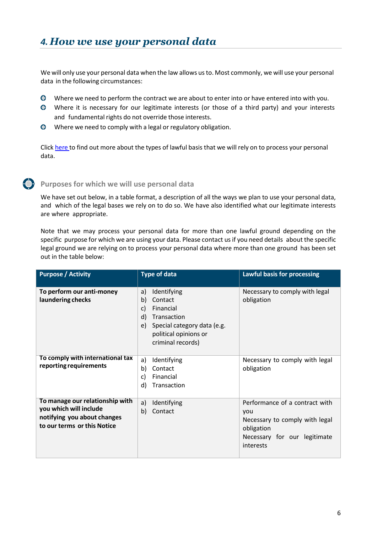<span id="page-6-0"></span>We will only use your personal data when the law allows usto. Most commonly, we will use your personal data in the following circumstances:

- $\bullet$ Where we need to perform the contract we are about to enter into or have entered into with you.
- Where it is necessary for our legitimate interests (or those of a third party) and your interests and fundamental rights do not override those interests.
- $\bullet$ Where we need to comply with a legal or regulatory obligation.

Click [here](#page-14-1) to find out more about the types of lawful basis that we will rely on to process your personal data.

#### **Purposes for which we will use personal data**

We have set out below, in a table format, a description of all the ways we plan to use your personal data, and which of the legal bases we rely on to do so. We have also identified what our legitimate interests are where appropriate.

Note that we may process your personal data for more than one lawful ground depending on the specific purpose for which we are using your data. Please contact us if you need details about the specific legal ground we are relying on to process your personal data where more than one ground has been set out in the table below:

| <b>Purpose / Activity</b>                                                                                               | <b>Type of data</b>                                                                                                                                           | <b>Lawful basis for processing</b>                                                                                                 |
|-------------------------------------------------------------------------------------------------------------------------|---------------------------------------------------------------------------------------------------------------------------------------------------------------|------------------------------------------------------------------------------------------------------------------------------------|
| To perform our anti-money<br>laundering checks                                                                          | Identifying<br>a)<br>b)<br>Contact<br>Financial<br>c)<br>d)<br>Transaction<br>Special category data (e.g.<br>e)<br>political opinions or<br>criminal records) | Necessary to comply with legal<br>obligation                                                                                       |
| To comply with international tax<br>reporting requirements                                                              | Identifying<br>a)<br>b)<br>Contact<br>c)<br>Financial<br>d)<br>Transaction                                                                                    | Necessary to comply with legal<br>obligation                                                                                       |
| To manage our relationship with<br>you which will include<br>notifying you about changes<br>to our terms or this Notice | a)<br>Identifying<br>b)<br>Contact                                                                                                                            | Performance of a contract with<br>you<br>Necessary to comply with legal<br>obligation<br>Necessary for our legitimate<br>interests |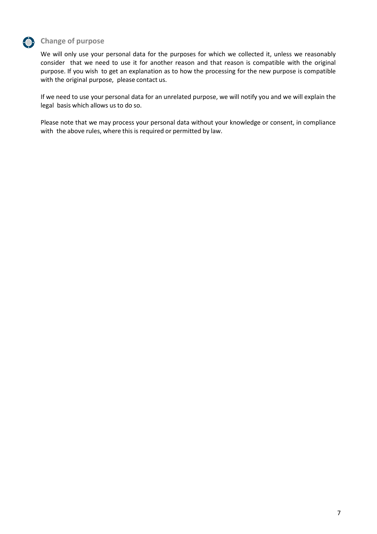

## **Change of purpose**

We will only use your personal data for the purposes for which we collected it, unless we reasonably consider that we need to use it for another reason and that reason is compatible with the original purpose. If you wish to get an explanation as to how the processing for the new purpose is compatible with the original purpose, please contact us.

If we need to use your personal data for an unrelated purpose, we will notify you and we will explain the legal basis which allows us to do so.

Please note that we may process your personal data without your knowledge or consent, in compliance with the above rules, where this is required or permitted by law.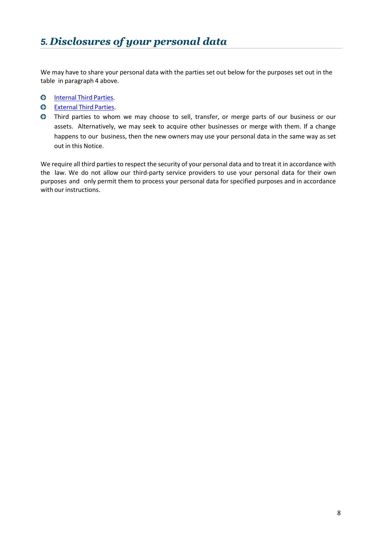<span id="page-8-0"></span>We may have to share your personal data with the parties set out below for the purposes set out in the table in paragraph 4 above.

- **O** [Internal](#page-14-2) Third Parties.
- **O** [External](#page-14-3) Third Parties.
- Third parties to whom we may choose to sell, transfer, or merge parts of our business or our assets. Alternatively, we may seek to acquire other businesses or merge with them. If a change happens to our business, then the new owners may use your personal data in the same way as set out in this Notice.

We require all third parties to respect the security of your personal data and to treat it in accordance with the law. We do not allow our third-party service providers to use your personal data for their own purposes and only permit them to process your personal data for specified purposes and in accordance with our instructions.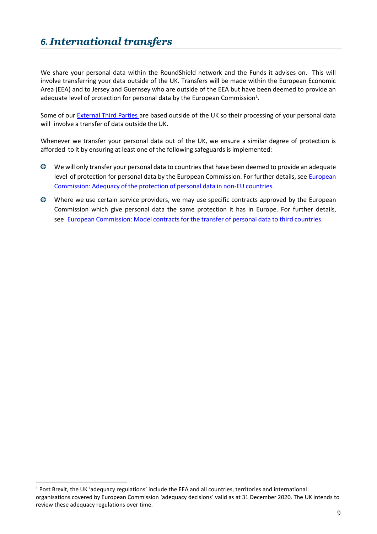## <span id="page-9-0"></span>*6. International transfers*

We share your personal data within the RoundShield network and the Funds it advises on. This will involve transferring your data outside of the UK. Transfers will be made within the European Economic Area (EEA) and to Jersey and Guernsey who are outside of the EEA but have been deemed to provide an adequate level of protection for personal data by the European Commission<sup>1</sup>.

Some of our **[External](#page-14-3) Third Parties are based outside of the UK so their processing of your personal data** will involve a transfer of data outside the UK.

Whenever we transfer your personal data out of the UK, we ensure a similar degree of protection is afforded to it by ensuring at least one of the following safeguards is implemented:

- We will only transfer your personal data to countries that have been deemed to provide an adequate level of protection for personal data by the [European](https://ec.europa.eu/info/law/law-topic/data-protection/data-transfers-outside-eu/adequacy-protection-personal-data-non-eu-countries_en) Commission. For further details, see European [Commission:](https://ec.europa.eu/info/law/law-topic/data-protection/data-transfers-outside-eu/adequacy-protection-personal-data-non-eu-countries_en) Adequacy of the protection of personal data in non-EU countries.
- Where we use certain service providers, we may use specific contracts approved by the European Commission which give personal data the same protection it has in Europe. For further details, see European [Commission:](https://ec.europa.eu/info/strategy/justice-and-fundamental-rights/data-protection/data-transfers-outside-eu/model-contracts-transfer-personal-data-third-countries_en) Model contracts for the transfer of personal data to third countries.

<sup>1</sup> Post Brexit, the UK 'adequacy regulations' include the EEA and all countries, territories and international organisations covered by European Commission 'adequacy decisions' valid as at 31 December 2020. The UK intends to review these adequacy regulations over time.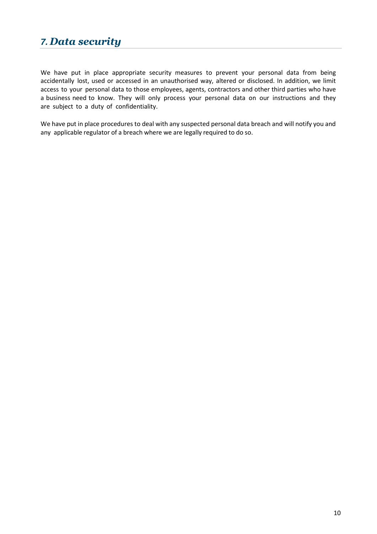## <span id="page-10-0"></span>*7. Data security*

We have put in place appropriate security measures to prevent your personal data from being accidentally lost, used or accessed in an unauthorised way, altered or disclosed. In addition, we limit access to your personal data to those employees, agents, contractors and other third parties who have a business need to know. They will only process your personal data on our instructions and they are subject to a duty of confidentiality.

We have put in place procedures to deal with any suspected personal data breach and will notify you and any applicable regulator of a breach where we are legally required to do so.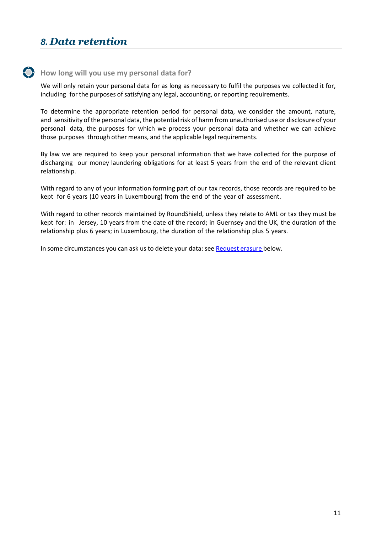## <span id="page-11-0"></span>*8. Data retention*

#### **How long will you use my personal data for?**

We will only retain your personal data for as long as necessary to fulfil the purposes we collected it for, including for the purposes of satisfying any legal, accounting, or reporting requirements.

To determine the appropriate retention period for personal data, we consider the amount, nature, and sensitivity of the personal data, the potential risk of harm from unauthorised use or disclosure of your personal data, the purposes for which we process your personal data and whether we can achieve those purposes through other means, and the applicable legal requirements.

By law we are required to keep your personal information that we have collected for the purpose of discharging our money laundering obligations for at least 5 years from the end of the relevant client relationship.

With regard to any of your information forming part of our tax records, those records are required to be kept for 6 years (10 years in Luxembourg) from the end of the year of assessment.

With regard to other records maintained by RoundShield, unless they relate to AML or tax they must be kept for: in Jersey, 10 years from the date of the record; in Guernsey and the UK, the duration of the relationship plus 6 years; in Luxembourg, the duration of the relationship plus 5 years.

In some circumstances you can ask us to delete your data: see Request erasure below.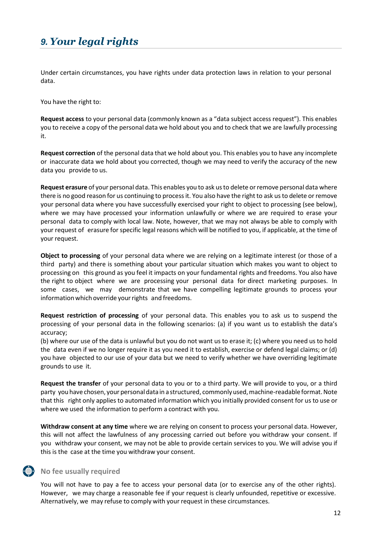## <span id="page-12-0"></span>*9. Your legal rights*

Under certain circumstances, you have rights under data protection laws in relation to your personal data.

You have the right to:

**Request access** to your personal data (commonly known as a "data subject access request"). This enables you to receive a copy of the personal data we hold about you and to check that we are lawfully processing it.

**Request correction** of the personal data that we hold about you. This enables you to have any incomplete or inaccurate data we hold about you corrected, though we may need to verify the accuracy of the new data you provide to us.

**Request erasure** of your personal data. This enables you to ask usto delete orremove personal data where there is no good reason for us continuing to process it. You also have the right to ask us to delete or remove your personal data where you have successfully exercised your right to object to processing (see below), where we may have processed your information unlawfully or where we are required to erase your personal data to comply with local law. Note, however, that we may not always be able to comply with your request of erasure for specific legal reasons which will be notified to you, if applicable, at the time of your request.

**Object to processing** of your personal data where we are relying on a legitimate interest (or those of a third party) and there is something about your particular situation which makes you want to object to processing on this ground as you feel it impacts on your fundamental rights and freedoms. You also have the right to object where we are processing your personal data for direct marketing purposes. In some cases, we may demonstrate that we have compelling legitimate grounds to process your information which override your rights and freedoms.

**Request restriction of processing** of your personal data. This enables you to ask us to suspend the processing of your personal data in the following scenarios: (a) if you want us to establish the data's accuracy;

(b) where our use of the data is unlawful but you do not want us to erase it; (c) where you need us to hold the data even if we no longer require it as you need it to establish, exercise or defend legal claims; or (d) you have objected to our use of your data but we need to verify whether we have overriding legitimate grounds to use it.

**Request the transfer** of your personal data to you or to a third party. We will provide to you, or a third party you have chosen, your personal data in a structured, commonly used, machine-readable format. Note that this right only applies to automated information which you initially provided consent for us to use or where we used the information to perform a contract with you.

**Withdraw consent at any time** where we are relying on consent to process your personal data. However, this will not affect the lawfulness of any processing carried out before you withdraw your consent. If you withdraw your consent, we may not be able to provide certain services to you. We will advise you if this is the case at the time you withdraw your consent.

### **No fee usually required**

You will not have to pay a fee to access your personal data (or to exercise any of the other rights). However, we may charge a reasonable fee if your request is clearly unfounded, repetitive or excessive. Alternatively, we may refuse to comply with your request in these circumstances.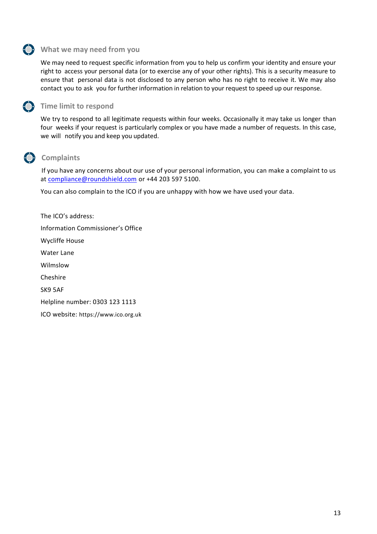#### **What we may need from you**

We may need to request specific information from you to help us confirm your identity and ensure your right to access your personal data (or to exercise any of your other rights). This is a security measure to ensure that personal data is not disclosed to any person who has no right to receive it. We may also contact you to ask you for further information in relation to your request to speed up our response.



#### **Ch** Time limit to respond

We try to respond to all legitimate requests within four weeks. Occasionally it may take us longer than four weeks if your request is particularly complex or you have made a number of requests. In this case, we will notify you and keep you updated.

## **Complaints**

If you have any concerns about our use of your personal information, you can make a complaint to us at [compliance@roundshield.com](mailto:compliance@roundshield.com) or +44 203 597 5100.

You can also complain to the ICO if you are unhappy with how we have used your data.

The ICO's address: Information Commissioner's Office Wycliffe House Water Lane Wilmslow Cheshire SK9 5AF Helpline number: 0303 123 1113 ICO website: [https://www.ico.org.uk](https://protect-eu.mimecast.com/s/k6elC39NKupAJLcgpnFv?domain=ico.org.uk)